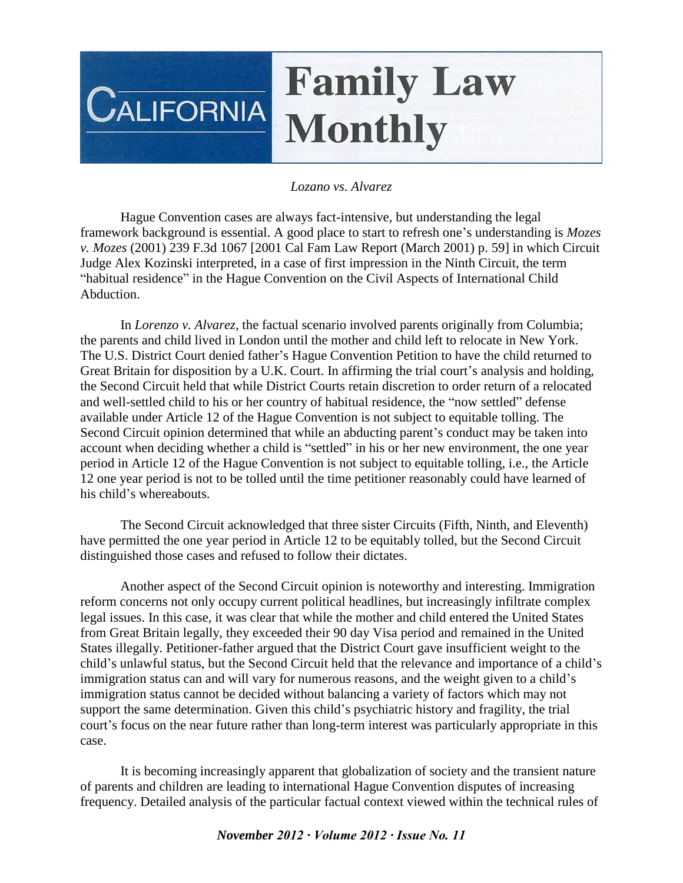## **Family Law**  $\overline{\text{CALIFORNIA}}$ **Monthly**

## *Lozano vs. Alvarez*

Hague Convention cases are always fact-intensive, but understanding the legal framework background is essential. A good place to start to refresh one's understanding is *Mozes v. Mozes* (2001) 239 F.3d 1067 [2001 Cal Fam Law Report (March 2001) p. 59] in which Circuit Judge Alex Kozinski interpreted, in a case of first impression in the Ninth Circuit, the term "habitual residence" in the Hague Convention on the Civil Aspects of International Child Abduction.

In *Lorenzo v. Alvarez*, the factual scenario involved parents originally from Columbia; the parents and child lived in London until the mother and child left to relocate in New York. The U.S. District Court denied father's Hague Convention Petition to have the child returned to Great Britain for disposition by a U.K. Court. In affirming the trial court's analysis and holding, the Second Circuit held that while District Courts retain discretion to order return of a relocated and well-settled child to his or her country of habitual residence, the "now settled" defense available under Article 12 of the Hague Convention is not subject to equitable tolling. The Second Circuit opinion determined that while an abducting parent's conduct may be taken into account when deciding whether a child is "settled" in his or her new environment, the one year period in Article 12 of the Hague Convention is not subject to equitable tolling, i.e., the Article 12 one year period is not to be tolled until the time petitioner reasonably could have learned of his child's whereabouts.

The Second Circuit acknowledged that three sister Circuits (Fifth, Ninth, and Eleventh) have permitted the one year period in Article 12 to be equitably tolled, but the Second Circuit distinguished those cases and refused to follow their dictates.

Another aspect of the Second Circuit opinion is noteworthy and interesting. Immigration reform concerns not only occupy current political headlines, but increasingly infiltrate complex legal issues. In this case, it was clear that while the mother and child entered the United States from Great Britain legally, they exceeded their 90 day Visa period and remained in the United States illegally. Petitioner-father argued that the District Court gave insufficient weight to the child's unlawful status, but the Second Circuit held that the relevance and importance of a child's immigration status can and will vary for numerous reasons, and the weight given to a child's immigration status cannot be decided without balancing a variety of factors which may not support the same determination. Given this child's psychiatric history and fragility, the trial court's focus on the near future rather than long-term interest was particularly appropriate in this case.

It is becoming increasingly apparent that globalization of society and the transient nature of parents and children are leading to international Hague Convention disputes of increasing frequency. Detailed analysis of the particular factual context viewed within the technical rules of